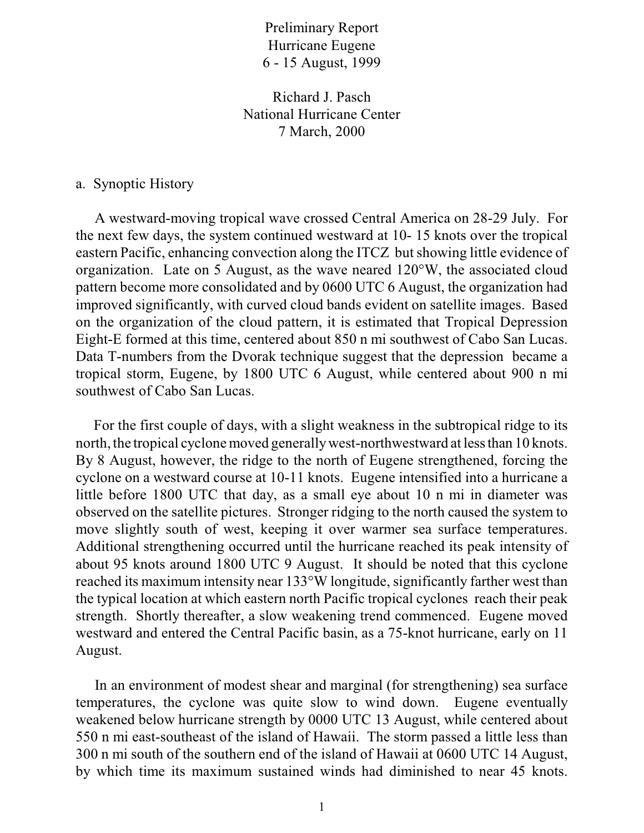Preliminary Report Hurricane Eugene 6 - 15 August, 1999

Richard J. Pasch National Hurricane Center 7 March, 2000

## a. Synoptic History

 A westward-moving tropical wave crossed Central America on 28-29 July. For the next few days, the system continued westward at 10- 15 knots over the tropical eastern Pacific, enhancing convection along the ITCZ but showing little evidence of organization. Late on 5 August, as the wave neared 120°W, the associated cloud pattern become more consolidated and by 0600 UTC 6 August, the organization had improved significantly, with curved cloud bands evident on satellite images. Based on the organization of the cloud pattern, it is estimated that Tropical Depression Eight-E formed at this time, centered about 850 n mi southwest of Cabo San Lucas. Data T-numbers from the Dvorak technique suggest that the depression became a tropical storm, Eugene, by 1800 UTC 6 August, while centered about 900 n mi southwest of Cabo San Lucas.

 For the first couple of days, with a slight weakness in the subtropical ridge to its north, the tropical cyclone moved generally west-northwestward at less than 10 knots. By 8 August, however, the ridge to the north of Eugene strengthened, forcing the cyclone on a westward course at 10-11 knots. Eugene intensified into a hurricane a little before 1800 UTC that day, as a small eye about 10 n mi in diameter was observed on the satellite pictures. Stronger ridging to the north caused the system to move slightly south of west, keeping it over warmer sea surface temperatures. Additional strengthening occurred until the hurricane reached its peak intensity of about 95 knots around 1800 UTC 9 August. It should be noted that this cyclone reached its maximum intensity near 133°W longitude, significantly farther west than the typical location at which eastern north Pacific tropical cyclones reach their peak strength. Shortly thereafter, a slow weakening trend commenced. Eugene moved westward and entered the Central Pacific basin, as a 75-knot hurricane, early on 11 August.

 In an environment of modest shear and marginal (for strengthening) sea surface temperatures, the cyclone was quite slow to wind down. Eugene eventually weakened below hurricane strength by 0000 UTC 13 August, while centered about 550 n mi east-southeast of the island of Hawaii. The storm passed a little less than 300 n mi south of the southern end of the island of Hawaii at 0600 UTC 14 August, by which time its maximum sustained winds had diminished to near 45 knots.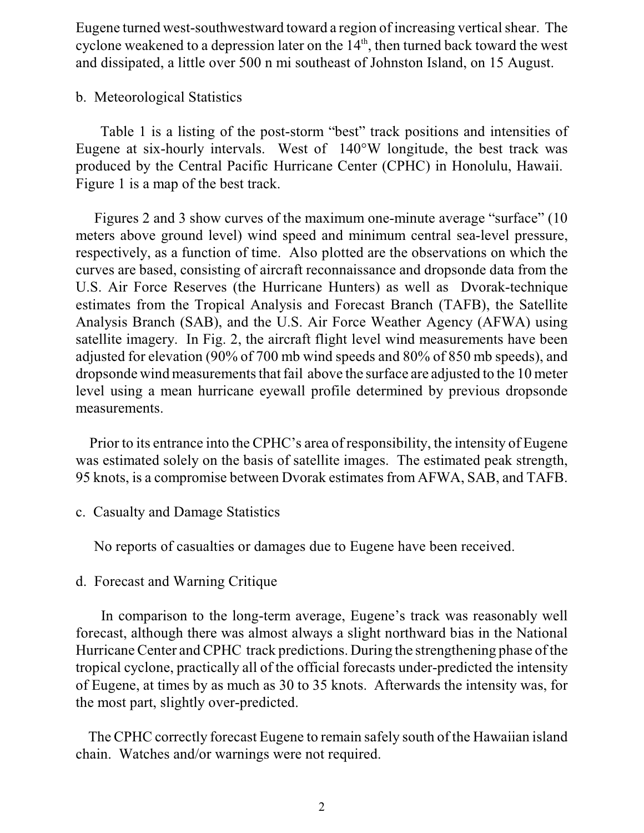Eugene turned west-southwestward toward a region of increasing vertical shear. The cyclone weakened to a depression later on the  $14<sup>th</sup>$ , then turned back toward the west and dissipated, a little over 500 n mi southeast of Johnston Island, on 15 August.

## b. Meteorological Statistics

 Table 1 is a listing of the post-storm "best" track positions and intensities of Eugene at six-hourly intervals. West of 140°W longitude, the best track was produced by the Central Pacific Hurricane Center (CPHC) in Honolulu, Hawaii. Figure 1 is a map of the best track.

 Figures 2 and 3 show curves of the maximum one-minute average "surface" (10 meters above ground level) wind speed and minimum central sea-level pressure, respectively, as a function of time. Also plotted are the observations on which the curves are based, consisting of aircraft reconnaissance and dropsonde data from the U.S. Air Force Reserves (the Hurricane Hunters) as well as Dvorak-technique estimates from the Tropical Analysis and Forecast Branch (TAFB), the Satellite Analysis Branch (SAB), and the U.S. Air Force Weather Agency (AFWA) using satellite imagery. In Fig. 2, the aircraft flight level wind measurements have been adjusted for elevation (90% of 700 mb wind speeds and 80% of 850 mb speeds), and dropsonde wind measurements that fail above the surface are adjusted to the 10 meter level using a mean hurricane eyewall profile determined by previous dropsonde measurements.

 Prior to its entrance into the CPHC's area of responsibility, the intensity of Eugene was estimated solely on the basis of satellite images. The estimated peak strength, 95 knots, is a compromise between Dvorak estimates from AFWA, SAB, and TAFB.

c. Casualty and Damage Statistics

No reports of casualties or damages due to Eugene have been received.

d. Forecast and Warning Critique

 In comparison to the long-term average, Eugene's track was reasonably well forecast, although there was almost always a slight northward bias in the National Hurricane Center and CPHC track predictions. During the strengthening phase of the tropical cyclone, practically all of the official forecasts under-predicted the intensity of Eugene, at times by as much as 30 to 35 knots. Afterwards the intensity was, for the most part, slightly over-predicted.

 The CPHC correctly forecast Eugene to remain safely south of the Hawaiian island chain. Watches and/or warnings were not required.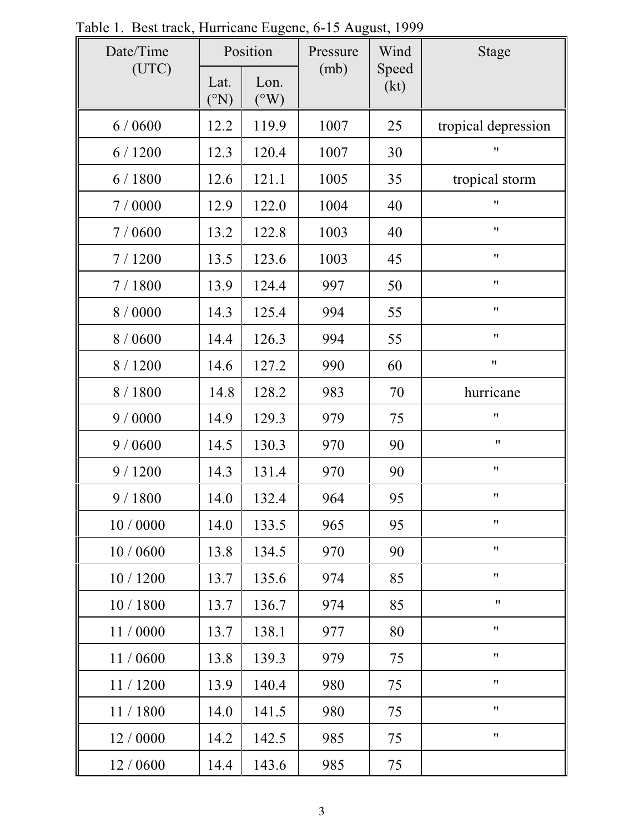| Fable 1. Dest traek, Humieane Eugene, 0-19 August, 1999<br>Date/Time<br>(UTC) | Position                    |                       | Pressure | Wind          | <b>Stage</b>        |
|-------------------------------------------------------------------------------|-----------------------------|-----------------------|----------|---------------|---------------------|
|                                                                               | Lat.<br>$\rm ^{(^\circ N)}$ | Lon.<br>$(^{\circ}W)$ | (mb)     | Speed<br>(kt) |                     |
| 6/0600                                                                        | 12.2                        | 119.9                 | 1007     | 25            | tropical depression |
| 6/1200                                                                        | 12.3                        | 120.4                 | 1007     | 30            | 11                  |
| 6 / 1800                                                                      | 12.6                        | 121.1                 | 1005     | 35            | tropical storm      |
| 7 / 0000                                                                      | 12.9                        | 122.0                 | 1004     | 40            | 11                  |
| 7/0600                                                                        | 13.2                        | 122.8                 | 1003     | 40            | 11                  |
| 7/1200                                                                        | 13.5                        | 123.6                 | 1003     | 45            | 11                  |
| 7/1800                                                                        | 13.9                        | 124.4                 | 997      | 50            | $\pmb{\mathsf{H}}$  |
| 8 / 0000                                                                      | 14.3                        | 125.4                 | 994      | 55            | 11                  |
| 8 / 0600                                                                      | 14.4                        | 126.3                 | 994      | 55            | 11                  |
| 8 / 1200                                                                      | 14.6                        | 127.2                 | 990      | 60            | 11                  |
| 8 / 1800                                                                      | 14.8                        | 128.2                 | 983      | 70            | hurricane           |
| 9/0000                                                                        | 14.9                        | 129.3                 | 979      | 75            | 11                  |
| 9/0600                                                                        | 14.5                        | 130.3                 | 970      | 90            | $\pmb{\mathsf{H}}$  |
| 9/1200                                                                        | 14.3                        | 131.4                 | 970      | 90            | 11                  |
| 9/1800                                                                        | 14.0                        | 132.4                 | 964      | 95            | 11                  |
| 10/0000                                                                       | 14.0                        | 133.5                 | 965      | 95            | $\pmb{\mathsf{H}}$  |
| 10 / 0600                                                                     | 13.8                        | 134.5                 | 970      | 90            | $\pmb{\mathsf{H}}$  |
| 10 / 1200                                                                     | 13.7                        | 135.6                 | 974      | 85            | 11                  |
| 10 / 1800                                                                     | 13.7                        | 136.7                 | 974      | 85            | $\pmb{\mathsf{H}}$  |
| 11/0000                                                                       | 13.7                        | 138.1                 | 977      | 80            | $\pmb{\mathsf{H}}$  |
| 11/0600                                                                       | 13.8                        | 139.3                 | 979      | 75            | $\pmb{\mathsf{H}}$  |
| 11/1200                                                                       | 13.9                        | 140.4                 | 980      | 75            | 11                  |
| 11/1800                                                                       | 14.0                        | 141.5                 | 980      | 75            | $^{\prime\prime}$   |
| 12 / 0000                                                                     | 14.2                        | 142.5                 | 985      | 75            | $\pmb{\mathsf{H}}$  |
| 12 / 0600                                                                     | 14.4                        | 143.6                 | 985      | 75            |                     |

Table 1. Best track, Hurricane Eugene, 6-15 August, 1999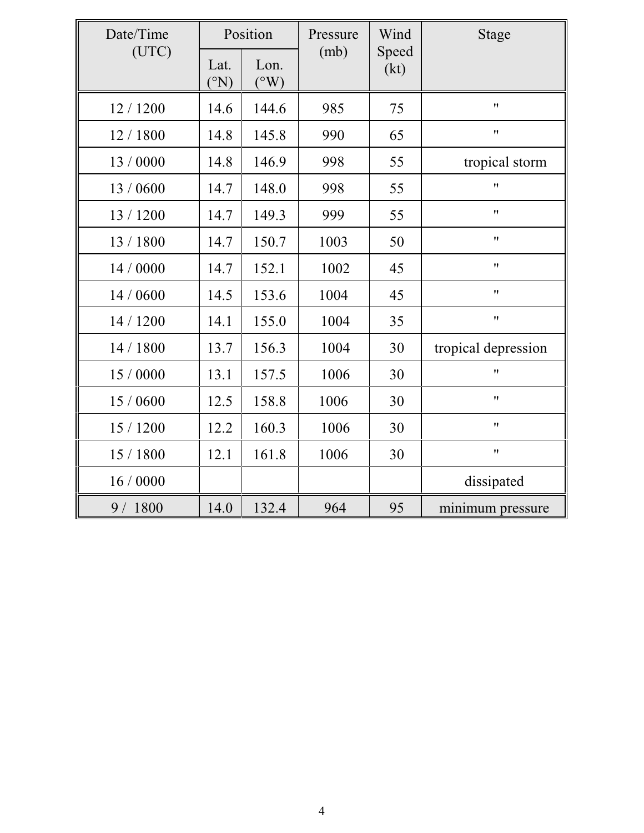| Date/Time<br>(UTC) | Position                      |                         | Pressure | Wind          | Stage               |
|--------------------|-------------------------------|-------------------------|----------|---------------|---------------------|
|                    | Lat.<br>$({}^{\circ}{\rm N})$ | Lon.<br>$({}^{\circ}W)$ | (mb)     | Speed<br>(kt) |                     |
| 12 / 1200          | 14.6                          | 144.6                   | 985      | 75            | 11                  |
| 12/1800            | 14.8                          | 145.8                   | 990      | 65            | 11                  |
| 13 / 0000          | 14.8                          | 146.9                   | 998      | 55            | tropical storm      |
| 13/0600            | 14.7                          | 148.0                   | 998      | 55            | 11                  |
| 13 / 1200          | 14.7                          | 149.3                   | 999      | 55            | 11                  |
| 13 / 1800          | 14.7                          | 150.7                   | 1003     | 50            | 11                  |
| 14 / 0000          | 14.7                          | 152.1                   | 1002     | 45            | $^{\prime \prime}$  |
| 14 / 0600          | 14.5                          | 153.6                   | 1004     | 45            | 11                  |
| 14 / 1200          | 14.1                          | 155.0                   | 1004     | 35            | $\pmb{\mathsf{H}}$  |
| 14 / 1800          | 13.7                          | 156.3                   | 1004     | 30            | tropical depression |
| 15 / 0000          | 13.1                          | 157.5                   | 1006     | 30            | 11                  |
| 15 / 0600          | 12.5                          | 158.8                   | 1006     | 30            | 11                  |
| 15 / 1200          | 12.2                          | 160.3                   | 1006     | 30            | 11                  |
| 15 / 1800          | 12.1                          | 161.8                   | 1006     | 30            | 11                  |
| 16/0000            |                               |                         |          |               | dissipated          |
| 9 / 1800           | 14.0                          | 132.4                   | 964      | 95            | minimum pressure    |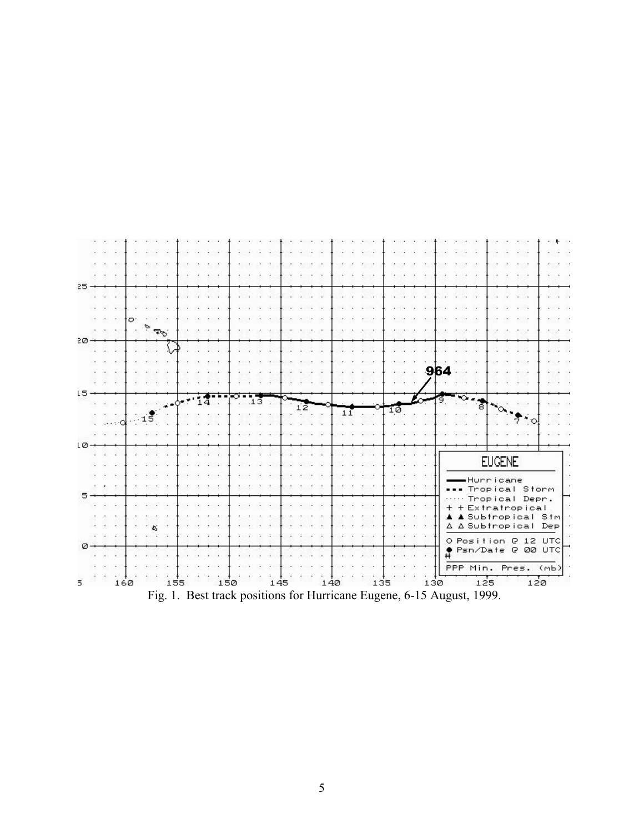